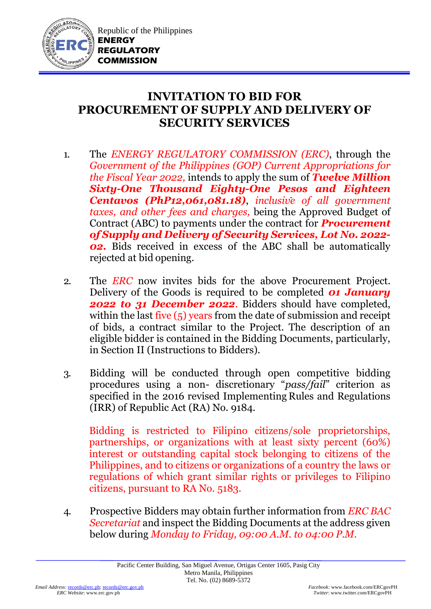

Republic of the Philippines **ENERGY REGULATORY COMMISSION**

## **INVITATION TO BID FOR PROCUREMENT OF SUPPLY AND DELIVERY OF SECURITY SERVICES**

- 1. The *ENERGY REGULATORY COMMISSION (ERC)*, through the *Government of the Philippines (GOP) Current Appropriations for the Fiscal Year 2022,* intends to apply the sum of *Twelve Million Sixty-One Thousand Eighty-One Pesos and Eighteen Centavos (PhP12,061,081.18)*, *inclusive of all government taxes, and other fees and charges,* being the Approved Budget of Contract (ABC) to payments under the contract for *Procurement of Supply and Delivery of Security Services, Lot No. 2022- 02.* Bids received in excess of the ABC shall be automatically rejected at bid opening.
- 2. The *ERC* now invites bids for the above Procurement Project. Delivery of the Goods is required to be completed *01 January 2022 to 31 December 2022*. Bidders should have completed, within the last five (5) years from the date of submission and receipt of bids, a contract similar to the Project. The description of an eligible bidder is contained in the Bidding Documents, particularly, in Section II (Instructions to Bidders).
- 3. Bidding will be conducted through open competitive bidding procedures using a non- discretionary "*pass/fail*" criterion as specified in the 2016 revised Implementing Rules and Regulations (IRR) of Republic Act (RA) No. 9184.

Bidding is restricted to Filipino citizens/sole proprietorships, partnerships, or organizations with at least sixty percent (60%) interest or outstanding capital stock belonging to citizens of the Philippines, and to citizens or organizations of a country the laws or regulations of which grant similar rights or privileges to Filipino citizens, pursuant to RA No. 5183.

4. Prospective Bidders may obtain further information from *ERC BAC Secretariat* and inspect the Bidding Documents at the address given below during *Monday to Friday, 09:00 A.M. to 04:00 P.M*.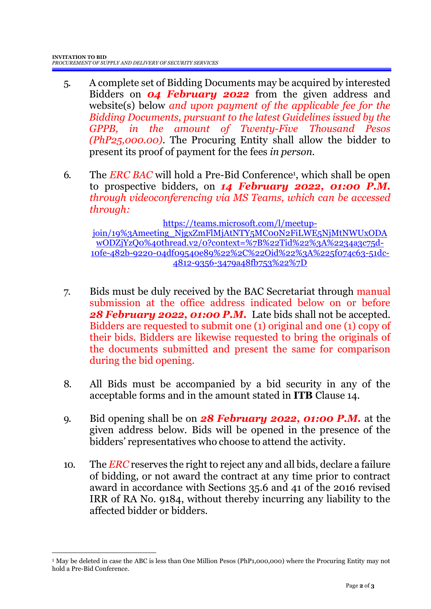- 5. A complete set of Bidding Documents may be acquired by interested Bidders on *04 February 2022* from the given address and website(s) below *and upon payment of the applicable fee for the Bidding Documents, pursuant to the latest Guidelines issued by the GPPB, in the amount of Twenty-Five Thousand Pesos (PhP25,000.00)*. The Procuring Entity shall allow the bidder to present its proof of payment for the fees *in person.*
- 6. The *ERC BAC* will hold a Pre-Bid Conference<sup>1</sup>, which shall be open to prospective bidders, on *14 February 2022, 01:00 P.M. through videoconferencing via MS Teams, which can be accessed through:*

[https://teams.microsoft.com/l/meetup](https://teams.microsoft.com/l/meetup-join/19%3Ameeting_NjgxZmFlMjAtNTY5MC00N2FiLWE5NjMtNWUxODAwODZjYzQ0%40thread.v2/0?context=%7B%22Tid%22%3A%2234a3c75d-10fe-482b-9220-04df09540e89%22%2C%22Oid%22%3A%225f074c63-51dc-4812-9356-3479a48fb753%22%7D)[join/19%3Ameeting\\_NjgxZmFlMjAtNTY5MC00N2FiLWE5NjMtNWUxODA](https://teams.microsoft.com/l/meetup-join/19%3Ameeting_NjgxZmFlMjAtNTY5MC00N2FiLWE5NjMtNWUxODAwODZjYzQ0%40thread.v2/0?context=%7B%22Tid%22%3A%2234a3c75d-10fe-482b-9220-04df09540e89%22%2C%22Oid%22%3A%225f074c63-51dc-4812-9356-3479a48fb753%22%7D) [wODZjYzQ0%40thread.v2/0?context=%7B%22Tid%22%3A%2234a3c75d-](https://teams.microsoft.com/l/meetup-join/19%3Ameeting_NjgxZmFlMjAtNTY5MC00N2FiLWE5NjMtNWUxODAwODZjYzQ0%40thread.v2/0?context=%7B%22Tid%22%3A%2234a3c75d-10fe-482b-9220-04df09540e89%22%2C%22Oid%22%3A%225f074c63-51dc-4812-9356-3479a48fb753%22%7D)[10fe-482b-9220-04df09540e89%22%2C%22Oid%22%3A%225f074c63-51dc-](https://teams.microsoft.com/l/meetup-join/19%3Ameeting_NjgxZmFlMjAtNTY5MC00N2FiLWE5NjMtNWUxODAwODZjYzQ0%40thread.v2/0?context=%7B%22Tid%22%3A%2234a3c75d-10fe-482b-9220-04df09540e89%22%2C%22Oid%22%3A%225f074c63-51dc-4812-9356-3479a48fb753%22%7D)[4812-9356-3479a48fb753%22%7D](https://teams.microsoft.com/l/meetup-join/19%3Ameeting_NjgxZmFlMjAtNTY5MC00N2FiLWE5NjMtNWUxODAwODZjYzQ0%40thread.v2/0?context=%7B%22Tid%22%3A%2234a3c75d-10fe-482b-9220-04df09540e89%22%2C%22Oid%22%3A%225f074c63-51dc-4812-9356-3479a48fb753%22%7D)

- 7. Bids must be duly received by the BAC Secretariat through manual submission at the office address indicated below on or before *28 February 2022, 01:00 P.M.* Late bids shall not be accepted. Bidders are requested to submit one (1) original and one (1) copy of their bids. Bidders are likewise requested to bring the originals of the documents submitted and present the same for comparison during the bid opening.
- 8. All Bids must be accompanied by a bid security in any of the acceptable forms and in the amount stated in **ITB** Clause 14.
- 9. Bid opening shall be on *28 February 2022, 01:00 P.M.* at the given address below. Bids will be opened in the presence of the bidders' representatives who choose to attend the activity.
- 10. The *ERC* reserves the right to reject any and all bids, declare a failure of bidding, or not award the contract at any time prior to contract award in accordance with Sections 35.6 and 41 of the 2016 revised IRR of RA No. 9184, without thereby incurring any liability to the affected bidder or bidders.

1

<sup>1</sup> May be deleted in case the ABC is less than One Million Pesos (PhP1,000,000) where the Procuring Entity may not hold a Pre-Bid Conference.